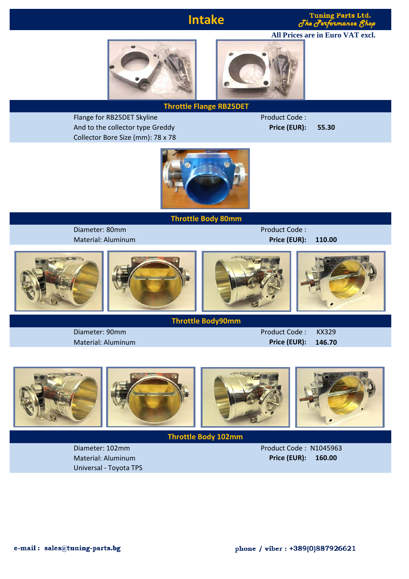# **Intake**

**Tuning Parts Ltd.**  $d$  he  $d$ 

**All Prices are in Euro VAT excl.**





## **Throttle Flange RB25DET**

Flange for RB25DET Skyline Product Code : And to the collector type Greddy **Price (EUR): 55.30** Collector Bore Size (mm): 78 x 78



## **Throttle Body 80mm**

Diameter: 80mm Product Code :

Material: Aluminum **Price (EUR): 110.00**



## **Throttle Body90mm**

Diameter: 90mm Product Code : KX329 Material: Aluminum **Price (EUR): 146.70**



## **Throttle Body 102mm**

Universal - Toyota TPS

Diameter: 102mm Product Code : N1045963 Material: Aluminum **Price (EUR): 160.00**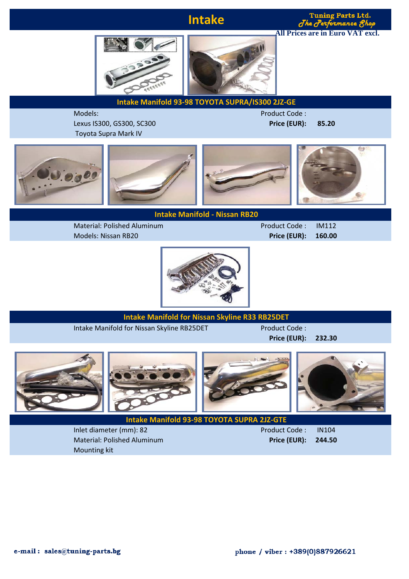# **Intake**

#### **Tuning Parts Ltd.**  $d$ he $d$ mance Kh **All Prices are in Euro VAT excl.**



**Intake Manifold 93-98 TOYOTA SUPRA/IS300 2JZ-GE**

Models: Product Code : Lexus IS300, GS300, SC300 **Price (EUR): 85.20** Toyota Supra Mark IV



**Intake Manifold - Nissan RB20**

Material: Polished Aluminum **Product Code : IM112** Models: Nissan RB20 **Price (EUR): 160.00**



## **Intake Manifold for Nissan Skyline R33 RB25DET**

Intake Manifold for Nissan Skyline RB25DET Product Code :

**Price (EUR): 232.30**



Inlet diameter (mm): 82 Product Code : IN104 Material: Polished Aluminum **Price (EUR): 244.50** Mounting kit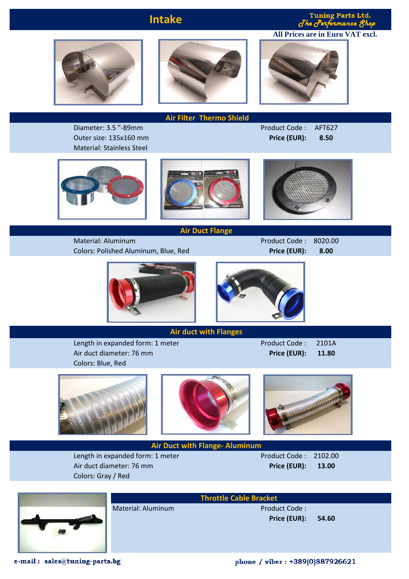## **Intake**

**Tuning Parts Ltd.**  $J$ he  $J$ 

**All Prices are in Euro VAT excl.**





 **Air Filter Thermo Shield**

Diameter: 3.5 "-89mm Product Code : AFT627

Outer size: 135x160 mm **Price (EUR): 8.50** Material: Stainless Steel







**Air Duct Flange**

Material: Aluminum **Product Code : 8020.00** Colors: Polished Aluminum, Blue, Red **Price (EUR): 8.00**





## **Air duct with Flanges**

Length in expanded form: 1 meter Product Code : 2101A Air duct diameter: 76 mm **Price (EUR): 11.80** Colors: Blue, Red









**Air Duct with Flange- Aluminum**

Length in expanded form: 1 meter Product Code : 2102.00 Air duct diameter: 76 mm **Price (EUR): 13.00** Colors: Gray / Red



Material: Aluminum Product Code :

**Throttle Cable Bracket Price (EUR): 54.60**